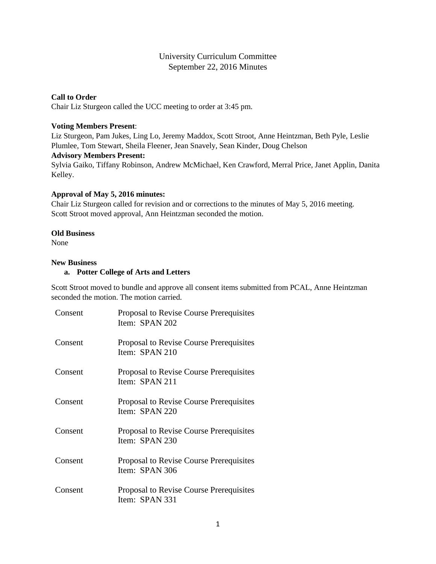# University Curriculum Committee September 22, 2016 Minutes

### **Call to Order**

Chair Liz Sturgeon called the UCC meeting to order at 3:45 pm.

#### **Voting Members Present**:

Liz Sturgeon, Pam Jukes, Ling Lo, Jeremy Maddox, Scott Stroot, Anne Heintzman, Beth Pyle, Leslie Plumlee, Tom Stewart, Sheila Fleener, Jean Snavely, Sean Kinder, Doug Chelson

#### **Advisory Members Present:**

Sylvia Gaiko, Tiffany Robinson, Andrew McMichael, Ken Crawford, Merral Price, Janet Applin, Danita Kelley.

## **Approval of May 5, 2016 minutes:**

Chair Liz Sturgeon called for revision and or corrections to the minutes of May 5, 2016 meeting. Scott Stroot moved approval, Ann Heintzman seconded the motion.

#### **Old Business**

None

## **New Business**

# **a. Potter College of Arts and Letters**

Scott Stroot moved to bundle and approve all consent items submitted from PCAL, Anne Heintzman seconded the motion. The motion carried.

| Consent | Proposal to Revise Course Prerequisites<br>Item: SPAN 202        |
|---------|------------------------------------------------------------------|
| Consent | Proposal to Revise Course Prerequisites<br>Item: SPAN 210        |
| Consent | <b>Proposal to Revise Course Prerequisites</b><br>Item: SPAN 211 |
| Consent | Proposal to Revise Course Prerequisites<br>Item: SPAN 220        |
| Consent | Proposal to Revise Course Prerequisites<br>Item: SPAN 230        |
| Consent | Proposal to Revise Course Prerequisites<br>Item: SPAN 306        |
| Consent | Proposal to Revise Course Prerequisites<br>Item: SPAN 331        |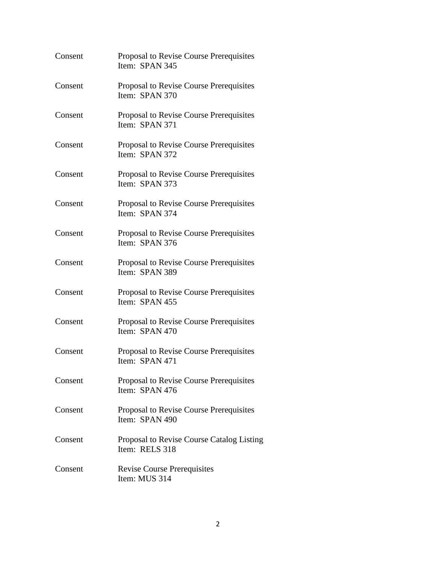| Consent | Proposal to Revise Course Prerequisites<br>Item: SPAN 345   |
|---------|-------------------------------------------------------------|
| Consent | Proposal to Revise Course Prerequisites<br>Item: SPAN 370   |
| Consent | Proposal to Revise Course Prerequisites<br>Item: SPAN 371   |
| Consent | Proposal to Revise Course Prerequisites<br>Item: SPAN 372   |
| Consent | Proposal to Revise Course Prerequisites<br>Item: SPAN 373   |
| Consent | Proposal to Revise Course Prerequisites<br>Item: SPAN 374   |
| Consent | Proposal to Revise Course Prerequisites<br>Item: SPAN 376   |
| Consent | Proposal to Revise Course Prerequisites<br>Item: SPAN 389   |
| Consent | Proposal to Revise Course Prerequisites<br>Item: SPAN 455   |
| Consent | Proposal to Revise Course Prerequisites<br>Item: SPAN 470   |
| Consent | Proposal to Revise Course Prerequisites<br>Item: SPAN 471   |
| Consent | Proposal to Revise Course Prerequisites<br>Item: SPAN 476   |
| Consent | Proposal to Revise Course Prerequisites<br>Item: SPAN 490   |
| Consent | Proposal to Revise Course Catalog Listing<br>Item: RELS 318 |
| Consent | <b>Revise Course Prerequisites</b><br>Item: MUS 314         |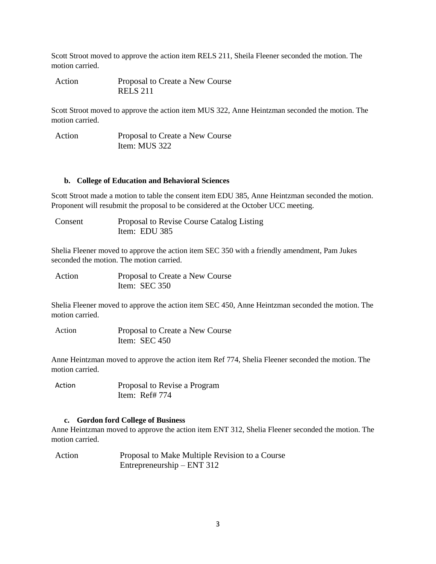Scott Stroot moved to approve the action item RELS 211, Sheila Fleener seconded the motion. The motion carried.

Action Proposal to Create a New Course RELS 211

Scott Stroot moved to approve the action item MUS 322, Anne Heintzman seconded the motion. The motion carried.

Action Proposal to Create a New Course Item: MUS 322

#### **b. College of Education and Behavioral Sciences**

Scott Stroot made a motion to table the consent item EDU 385, Anne Heintzman seconded the motion. Proponent will resubmit the proposal to be considered at the October UCC meeting.

Consent Proposal to Revise Course Catalog Listing Item: EDU 385

Shelia Fleener moved to approve the action item SEC 350 with a friendly amendment, Pam Jukes seconded the motion. The motion carried.

| Action | Proposal to Create a New Course |
|--------|---------------------------------|
|        | Item: $SEC 350$                 |

Shelia Fleener moved to approve the action item SEC 450, Anne Heintzman seconded the motion. The motion carried.

Action Proposal to Create a New Course Item: SEC 450

Anne Heintzman moved to approve the action item Ref 774, Shelia Fleener seconded the motion. The motion carried.

Action Proposal to Revise a Program Item: Ref# 774

#### **c. Gordon ford College of Business**

Anne Heintzman moved to approve the action item ENT 312, Shelia Fleener seconded the motion. The motion carried.

Action Proposal to Make Multiple Revision to a Course Entrepreneurship – ENT 312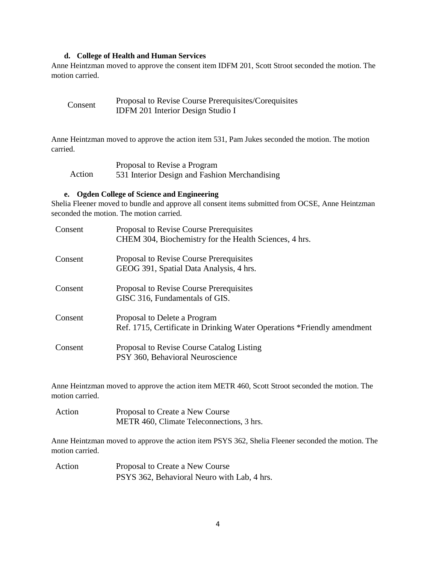#### **d. College of Health and Human Services**

Anne Heintzman moved to approve the consent item IDFM 201, Scott Stroot seconded the motion. The motion carried.

| Consent | Proposal to Revise Course Prerequisites/Corequisites |
|---------|------------------------------------------------------|
|         | <b>IDFM 201 Interior Design Studio I</b>             |

Anne Heintzman moved to approve the action item 531, Pam Jukes seconded the motion. The motion carried.

|        | Proposal to Revise a Program                  |
|--------|-----------------------------------------------|
| Action | 531 Interior Design and Fashion Merchandising |

# **e. Ogden College of Science and Engineering**

Shelia Fleener moved to bundle and approve all consent items submitted from OCSE, Anne Heintzman seconded the motion. The motion carried.

| Consent | Proposal to Revise Course Prerequisites<br>CHEM 304, Biochemistry for the Health Sciences, 4 hrs.       |
|---------|---------------------------------------------------------------------------------------------------------|
| Consent | Proposal to Revise Course Prerequisites<br>GEOG 391, Spatial Data Analysis, 4 hrs.                      |
| Consent | Proposal to Revise Course Prerequisites<br>GISC 316, Fundamentals of GIS.                               |
| Consent | Proposal to Delete a Program<br>Ref. 1715, Certificate in Drinking Water Operations *Friendly amendment |
| Consent | Proposal to Revise Course Catalog Listing<br>PSY 360, Behavioral Neuroscience                           |

Anne Heintzman moved to approve the action item METR 460, Scott Stroot seconded the motion. The motion carried.

| Action | Proposal to Create a New Course           |
|--------|-------------------------------------------|
|        | METR 460, Climate Teleconnections, 3 hrs. |

Anne Heintzman moved to approve the action item PSYS 362, Shelia Fleener seconded the motion. The motion carried.

Action Proposal to Create a New Course PSYS 362, Behavioral Neuro with Lab, 4 hrs.